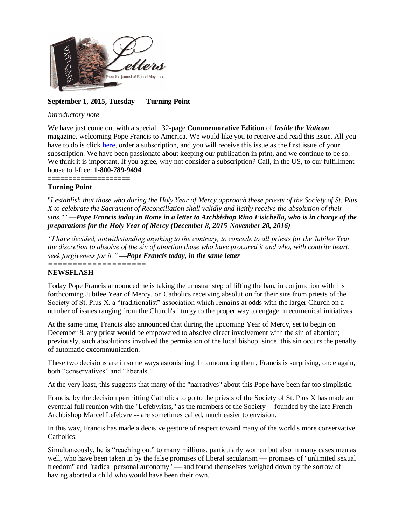

# **September 1, 2015, Tuesday — Turning Point**

## *Introductory note*

We have just come out with a special 132-page **Commemorative Edition** of *Inside the Vatican* magazine, welcoming Pope Francis to America. We would like you to receive and read this issue. All you have to do is click [here,](http://click.icptrack.com/icp/relay.php?r=47992469&msgid=720518&act=X5BQ&c=305005&destination=https%3A%2F%2Finsidethevatican.com%2Fproduct%2Fmagazine) order a subscription, and you will receive this issue as the first issue of your subscription. We have been passionate about keeping our publication in print, and we continue to be so. We think it is important. If you agree, why not consider a subscription? Call, in the US, to our fulfillment house toll-free: **1-800-789-9494**.

===================

## **Turning Point**

"*I establish that those who during the Holy Year of Mercy approach these priests of the Society of St. Pius X to celebrate the Sacrament of Reconciliation shall validly and licitly receive the absolution of their sins."" —Pope Francis today in Rome in a letter to Archbishop Rino Fisichella, who is in charge of the preparations for the Holy Year of Mercy (December 8, 2015-November 20, 2016)*

*"I have decided, notwithstanding anything to the contrary, to concede to all priests for the Jubilee Year the discretion to absolve of the sin of abortion those who have procured it and who, with contrite heart, seek forgiveness for it." —Pope Francis today, in the same letter*

*====================*

# **NEWSFLASH**

Today Pope Francis announced he is taking the unusual step of lifting the ban, in conjunction with his forthcoming Jubilee Year of Mercy, on Catholics receiving absolution for their sins from priests of the Society of St. Pius X, a "traditionalist" association which remains at odds with the larger Church on a number of issues ranging from the Church's liturgy to the proper way to engage in ecumenical initiatives.

At the same time, Francis also announced that during the upcoming Year of Mercy, set to begin on December 8, any priest would be empowered to absolve direct involvement with the sin of abortion; previously, such absolutions involved the permission of the local bishop, since this sin occurs the penalty of automatic excommunication.

These two decisions are in some ways astonishing. In announcing them, Francis is surprising, once again, both "conservatives" and "liberals."

At the very least, this suggests that many of the "narratives" about this Pope have been far too simplistic.

Francis, by the decision permitting Catholics to go to the priests of the Society of St. Pius X has made an eventual full reunion with the "Lefebvrists," as the members of the Society -- founded by the late French Archbishop Marcel Lefebvre -- are sometimes called, much easier to envision.

In this way, Francis has made a decisive gesture of respect toward many of the world's more conservative Catholics.

Simultaneously, he is "reaching out" to many millions, particularly women but also in many cases men as well, who have been taken in by the false promises of liberal secularism — promises of "unlimited sexual freedom" and "radical personal autonomy" — and found themselves weighed down by the sorrow of having aborted a child who would have been their own.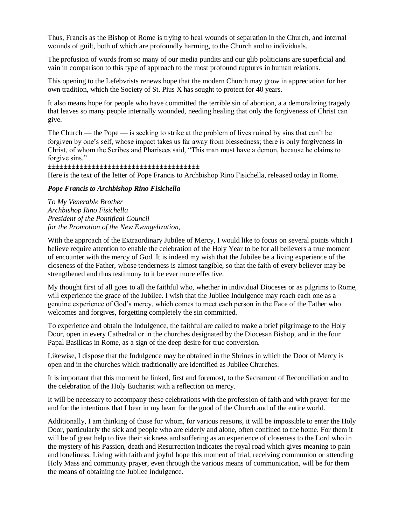Thus, Francis as the Bishop of Rome is trying to heal wounds of separation in the Church, and internal wounds of guilt, both of which are profoundly harming, to the Church and to individuals.

The profusion of words from so many of our media pundits and our glib politicians are superficial and vain in comparison to this type of approach to the most profound ruptures in human relations.

This opening to the Lefebvrists renews hope that the modern Church may grow in appreciation for her own tradition, which the Society of St. Pius X has sought to protect for 40 years.

It also means hope for people who have committed the terrible sin of abortion, a a demoralizing tragedy that leaves so many people internally wounded, needing healing that only the forgiveness of Christ can give.

The Church — the Pope — is seeking to strike at the problem of lives ruined by sins that can't be forgiven by one's self, whose impact takes us far away from blessedness; there is only forgiveness in Christ, of whom the Scribes and Pharisees said, "This man must have a demon, because he claims to forgive sins."

±±±±±±±±±±±±±±±±±±±±±±±±±±±±±±±±±±±±±±

Here is the text of the letter of Pope Francis to Archbishop Rino Fisichella, released today in Rome.

#### *Pope Francis to Archbishop Rino Fisichella*

*To My Venerable Brother Archbishop Rino Fisichella President of the Pontifical Council for the Promotion of the New Evangelization,*

With the approach of the Extraordinary Jubilee of Mercy, I would like to focus on several points which I believe require attention to enable the celebration of the Holy Year to be for all believers a true moment of encounter with the mercy of God. It is indeed my wish that the Jubilee be a living experience of the closeness of the Father, whose tenderness is almost tangible, so that the faith of every believer may be strengthened and thus testimony to it be ever more effective.

My thought first of all goes to all the faithful who, whether in individual Dioceses or as pilgrims to Rome, will experience the grace of the Jubilee. I wish that the Jubilee Indulgence may reach each one as a genuine experience of God's mercy, which comes to meet each person in the Face of the Father who welcomes and forgives, forgetting completely the sin committed.

To experience and obtain the Indulgence, the faithful are called to make a brief pilgrimage to the Holy Door, open in every Cathedral or in the churches designated by the Diocesan Bishop, and in the four Papal Basilicas in Rome, as a sign of the deep desire for true conversion.

Likewise, I dispose that the Indulgence may be obtained in the Shrines in which the Door of Mercy is open and in the churches which traditionally are identified as Jubilee Churches.

It is important that this moment be linked, first and foremost, to the Sacrament of Reconciliation and to the celebration of the Holy Eucharist with a reflection on mercy.

It will be necessary to accompany these celebrations with the profession of faith and with prayer for me and for the intentions that I bear in my heart for the good of the Church and of the entire world.

Additionally, I am thinking of those for whom, for various reasons, it will be impossible to enter the Holy Door, particularly the sick and people who are elderly and alone, often confined to the home. For them it will be of great help to live their sickness and suffering as an experience of closeness to the Lord who in the mystery of his Passion, death and Resurrection indicates the royal road which gives meaning to pain and loneliness. Living with faith and joyful hope this moment of trial, receiving communion or attending Holy Mass and community prayer, even through the various means of communication, will be for them the means of obtaining the Jubilee Indulgence.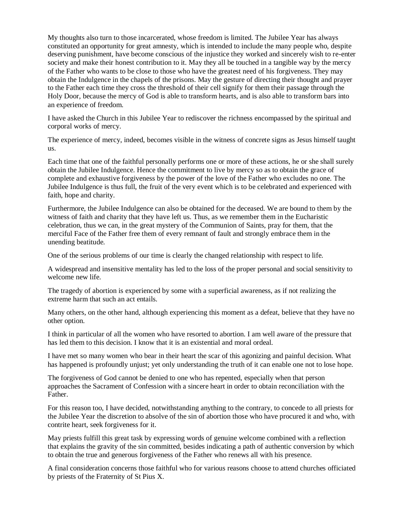My thoughts also turn to those incarcerated, whose freedom is limited. The Jubilee Year has always constituted an opportunity for great amnesty, which is intended to include the many people who, despite deserving punishment, have become conscious of the injustice they worked and sincerely wish to re-enter society and make their honest contribution to it. May they all be touched in a tangible way by the mercy of the Father who wants to be close to those who have the greatest need of his forgiveness. They may obtain the Indulgence in the chapels of the prisons. May the gesture of directing their thought and prayer to the Father each time they cross the threshold of their cell signify for them their passage through the Holy Door, because the mercy of God is able to transform hearts, and is also able to transform bars into an experience of freedom.

I have asked the Church in this Jubilee Year to rediscover the richness encompassed by the spiritual and corporal works of mercy.

The experience of mercy, indeed, becomes visible in the witness of concrete signs as Jesus himself taught us.

Each time that one of the faithful personally performs one or more of these actions, he or she shall surely obtain the Jubilee Indulgence. Hence the commitment to live by mercy so as to obtain the grace of complete and exhaustive forgiveness by the power of the love of the Father who excludes no one. The Jubilee Indulgence is thus full, the fruit of the very event which is to be celebrated and experienced with faith, hope and charity.

Furthermore, the Jubilee Indulgence can also be obtained for the deceased. We are bound to them by the witness of faith and charity that they have left us. Thus, as we remember them in the Eucharistic celebration, thus we can, in the great mystery of the Communion of Saints, pray for them, that the merciful Face of the Father free them of every remnant of fault and strongly embrace them in the unending beatitude.

One of the serious problems of our time is clearly the changed relationship with respect to life.

A widespread and insensitive mentality has led to the loss of the proper personal and social sensitivity to welcome new life.

The tragedy of abortion is experienced by some with a superficial awareness, as if not realizing the extreme harm that such an act entails.

Many others, on the other hand, although experiencing this moment as a defeat, believe that they have no other option.

I think in particular of all the women who have resorted to abortion. I am well aware of the pressure that has led them to this decision. I know that it is an existential and moral ordeal.

I have met so many women who bear in their heart the scar of this agonizing and painful decision. What has happened is profoundly unjust; yet only understanding the truth of it can enable one not to lose hope.

The forgiveness of God cannot be denied to one who has repented, especially when that person approaches the Sacrament of Confession with a sincere heart in order to obtain reconciliation with the Father.

For this reason too, I have decided, notwithstanding anything to the contrary, to concede to all priests for the Jubilee Year the discretion to absolve of the sin of abortion those who have procured it and who, with contrite heart, seek forgiveness for it.

May priests fulfill this great task by expressing words of genuine welcome combined with a reflection that explains the gravity of the sin committed, besides indicating a path of authentic conversion by which to obtain the true and generous forgiveness of the Father who renews all with his presence.

A final consideration concerns those faithful who for various reasons choose to attend churches officiated by priests of the Fraternity of St Pius X.